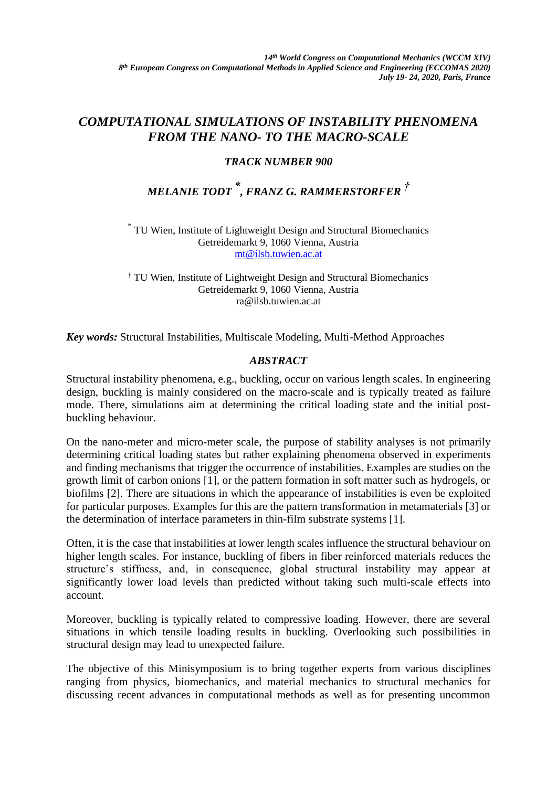## *COMPUTATIONAL SIMULATIONS OF INSTABILITY PHENOMENA FROM THE NANO- TO THE MACRO-SCALE*

## *TRACK NUMBER 900*

# *MELANIE TODT \* , FRANZ G. RAMMERSTORFER †*

\* TU Wien, Institute of Lightweight Design and Structural Biomechanics Getreidemarkt 9, 1060 Vienna, Austria [mt@ilsb.tuwien.ac.at](mailto:mt@ilsb.tuwien.ac.at)

† TU Wien, Institute of Lightweight Design and Structural Biomechanics Getreidemarkt 9, 1060 Vienna, Austria ra@ilsb.tuwien.ac.at

*Key words:* Structural Instabilities, Multiscale Modeling, Multi-Method Approaches

### *ABSTRACT*

Structural instability phenomena, e.g., buckling, occur on various length scales. In engineering design, buckling is mainly considered on the macro-scale and is typically treated as failure mode. There, simulations aim at determining the critical loading state and the initial postbuckling behaviour.

On the nano-meter and micro-meter scale, the purpose of stability analyses is not primarily determining critical loading states but rather explaining phenomena observed in experiments and finding mechanisms that trigger the occurrence of instabilities. Examples are studies on the growth limit of carbon onions [1], or the pattern formation in soft matter such as hydrogels, or biofilms [2]. There are situations in which the appearance of instabilities is even be exploited for particular purposes. Examples for this are the pattern transformation in metamaterials [3] or the determination of interface parameters in thin-film substrate systems [1].

Often, it is the case that instabilities at lower length scales influence the structural behaviour on higher length scales. For instance, buckling of fibers in fiber reinforced materials reduces the structure's stiffness, and, in consequence, global structural instability may appear at significantly lower load levels than predicted without taking such multi-scale effects into account.

Moreover, buckling is typically related to compressive loading. However, there are several situations in which tensile loading results in buckling. Overlooking such possibilities in structural design may lead to unexpected failure.

The objective of this Minisymposium is to bring together experts from various disciplines ranging from physics, biomechanics, and material mechanics to structural mechanics for discussing recent advances in computational methods as well as for presenting uncommon